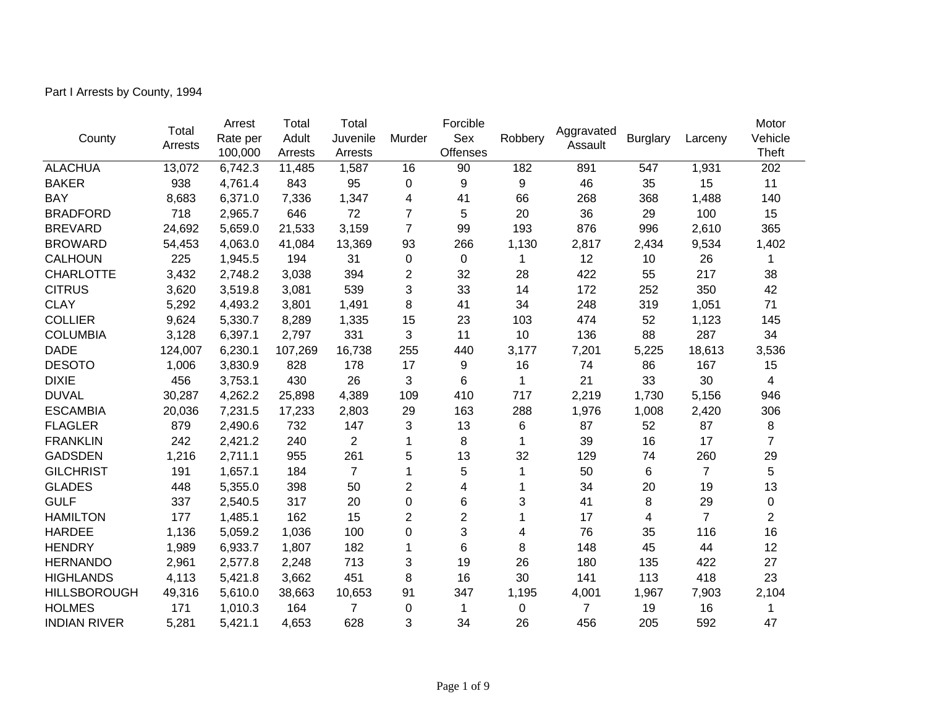Part I Arrests by County, 1994

|                     | Total   | Arrest   | Total   | Total          |                | Forcible        |         |                       |                 | Larceny        | Motor          |
|---------------------|---------|----------|---------|----------------|----------------|-----------------|---------|-----------------------|-----------------|----------------|----------------|
| County              | Arrests | Rate per | Adult   | Juvenile       | Murder         | Sex             | Robbery | Aggravated<br>Assault | <b>Burglary</b> |                | Vehicle        |
|                     |         | 100,000  | Arrests | Arrests        |                | <b>Offenses</b> |         |                       |                 |                | Theft          |
| <b>ALACHUA</b>      | 13,072  | 6,742.3  | 11,485  | 1,587          | 16             | 90              | 182     | 891                   | 547             | 1,931          | 202            |
| <b>BAKER</b>        | 938     | 4,761.4  | 843     | 95             | 0              | 9               | 9       | 46                    | 35              | 15             | 11             |
| <b>BAY</b>          | 8,683   | 6,371.0  | 7,336   | 1,347          | 4              | 41              | 66      | 268                   | 368             | 1,488          | 140            |
| <b>BRADFORD</b>     | 718     | 2,965.7  | 646     | 72             | 7              | 5               | 20      | 36                    | 29              | 100            | 15             |
| <b>BREVARD</b>      | 24,692  | 5,659.0  | 21,533  | 3,159          | $\overline{7}$ | 99              | 193     | 876                   | 996             | 2,610          | 365            |
| <b>BROWARD</b>      | 54,453  | 4,063.0  | 41,084  | 13,369         | 93             | 266             | 1,130   | 2,817                 | 2,434           | 9,534          | 1,402          |
| <b>CALHOUN</b>      | 225     | 1,945.5  | 194     | 31             | 0              | $\mathbf 0$     | 1       | 12                    | 10              | 26             | 1              |
| <b>CHARLOTTE</b>    | 3,432   | 2,748.2  | 3,038   | 394            | 2              | 32              | 28      | 422                   | 55              | 217            | 38             |
| <b>CITRUS</b>       | 3,620   | 3,519.8  | 3,081   | 539            | 3              | 33              | 14      | 172                   | 252             | 350            | 42             |
| <b>CLAY</b>         | 5,292   | 4,493.2  | 3,801   | 1,491          | 8              | 41              | 34      | 248                   | 319             | 1,051          | 71             |
| <b>COLLIER</b>      | 9,624   | 5,330.7  | 8,289   | 1,335          | 15             | 23              | 103     | 474                   | 52              | 1,123          | 145            |
| <b>COLUMBIA</b>     | 3,128   | 6,397.1  | 2,797   | 331            | 3              | 11              | 10      | 136                   | 88              | 287            | 34             |
| <b>DADE</b>         | 124,007 | 6,230.1  | 107,269 | 16,738         | 255            | 440             | 3,177   | 7,201                 | 5,225           | 18,613         | 3,536          |
| <b>DESOTO</b>       | 1,006   | 3,830.9  | 828     | 178            | 17             | 9               | 16      | 74                    | 86              | 167            | 15             |
| <b>DIXIE</b>        | 456     | 3,753.1  | 430     | 26             | 3              | 6               | 1       | 21                    | 33              | 30             | 4              |
| <b>DUVAL</b>        | 30,287  | 4,262.2  | 25,898  | 4,389          | 109            | 410             | 717     | 2,219                 | 1,730           | 5,156          | 946            |
| <b>ESCAMBIA</b>     | 20,036  | 7,231.5  | 17,233  | 2,803          | 29             | 163             | 288     | 1,976                 | 1,008           | 2,420          | 306            |
| <b>FLAGLER</b>      | 879     | 2,490.6  | 732     | 147            | 3              | 13              | 6       | 87                    | 52              | 87             | 8              |
| <b>FRANKLIN</b>     | 242     | 2,421.2  | 240     | $\overline{2}$ | 1              | 8               | 1       | 39                    | 16              | 17             | $\overline{7}$ |
| <b>GADSDEN</b>      | 1,216   | 2,711.1  | 955     | 261            | 5              | 13              | 32      | 129                   | 74              | 260            | 29             |
| <b>GILCHRIST</b>    | 191     | 1,657.1  | 184     | $\overline{7}$ |                | 5               | 1       | 50                    | 6               | $\overline{7}$ | 5              |
| <b>GLADES</b>       | 448     | 5,355.0  | 398     | 50             | $\overline{2}$ | 4               |         | 34                    | 20              | 19             | 13             |
| <b>GULF</b>         | 337     | 2,540.5  | 317     | 20             | 0              | 6               | 3       | 41                    | 8               | 29             | 0              |
| <b>HAMILTON</b>     | 177     | 1,485.1  | 162     | 15             | $\overline{c}$ | $\overline{2}$  | 1       | 17                    | 4               | $\overline{7}$ | $\overline{2}$ |
| <b>HARDEE</b>       | 1,136   | 5,059.2  | 1,036   | 100            | 0              | 3               | 4       | 76                    | 35              | 116            | 16             |
| <b>HENDRY</b>       | 1,989   | 6,933.7  | 1,807   | 182            | 1              | 6               | 8       | 148                   | 45              | 44             | 12             |
| <b>HERNANDO</b>     | 2,961   | 2,577.8  | 2,248   | 713            | 3              | 19              | 26      | 180                   | 135             | 422            | 27             |
| <b>HIGHLANDS</b>    | 4,113   | 5,421.8  | 3,662   | 451            | 8              | 16              | 30      | 141                   | 113             | 418            | 23             |
| <b>HILLSBOROUGH</b> | 49,316  | 5,610.0  | 38,663  | 10,653         | 91             | 347             | 1,195   | 4,001                 | 1,967           | 7,903          | 2,104          |
| <b>HOLMES</b>       | 171     | 1,010.3  | 164     | 7              | 0              | 1               | 0       | $\overline{7}$        | 19              | 16             | 1              |
| <b>INDIAN RIVER</b> | 5,281   | 5,421.1  | 4,653   | 628            | 3              | 34              | 26      | 456                   | 205             | 592            | 47             |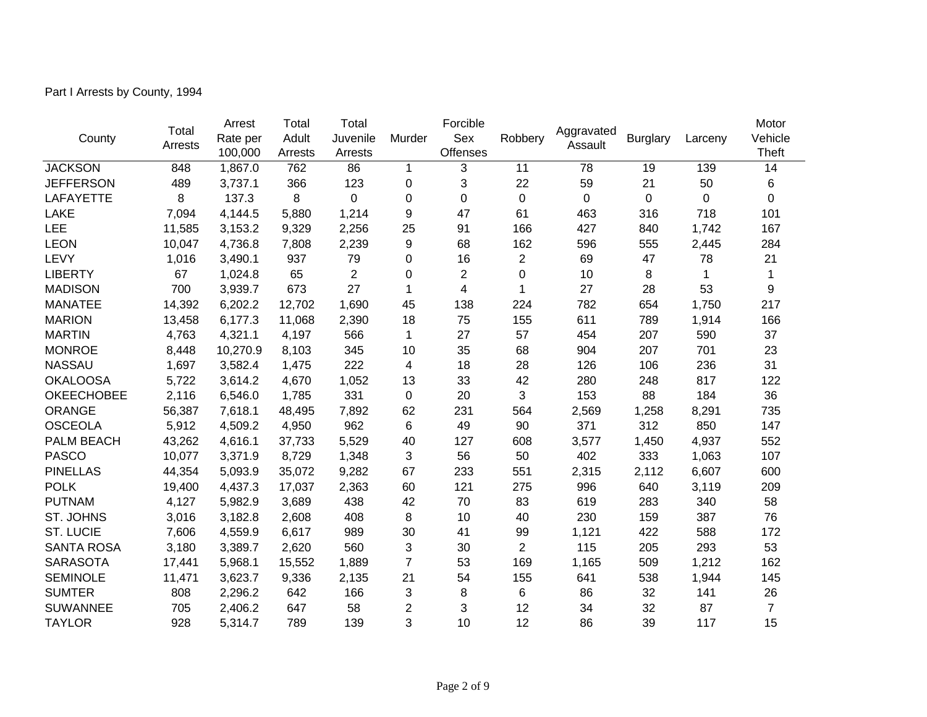Part I Arrests by County, 1994

|                   | Total   | Arrest   | Total   | Total          |                |                 |                | Aggravated  |                 | Larceny     | Motor          |
|-------------------|---------|----------|---------|----------------|----------------|-----------------|----------------|-------------|-----------------|-------------|----------------|
| County            | Arrests | Rate per | Adult   | Juvenile       | Murder         | Sex             | Robbery        | Assault     | <b>Burglary</b> |             | Vehicle        |
|                   |         | 100,000  | Arrests | Arrests        |                | <b>Offenses</b> |                |             |                 |             | <b>Theft</b>   |
| <b>JACKSON</b>    | 848     | 1,867.0  | 762     | 86             | 1              | 3               | 11             | 78          | 19              | 139         | 14             |
| <b>JEFFERSON</b>  | 489     | 3,737.1  | 366     | 123            | 0              | 3               | 22             | 59          | 21              | 50          | 6              |
| <b>LAFAYETTE</b>  | 8       | 137.3    | 8       | 0              | 0              | $\mathbf 0$     | 0              | $\mathbf 0$ | $\mathbf 0$     | $\mathbf 0$ | $\mathbf 0$    |
| <b>LAKE</b>       | 7,094   | 4,144.5  | 5,880   | 1,214          | 9              | 47              | 61             | 463         | 316             | 718         | 101            |
| <b>LEE</b>        | 11,585  | 3,153.2  | 9,329   | 2,256          | 25             | 91              | 166            | 427         | 840             | 1,742       | 167            |
| <b>LEON</b>       | 10,047  | 4,736.8  | 7,808   | 2,239          | 9              | 68              | 162            | 596         | 555             | 2,445       | 284            |
| LEVY              | 1,016   | 3,490.1  | 937     | 79             | 0              | 16              | $\overline{2}$ | 69          | 47              | 78          | 21             |
| <b>LIBERTY</b>    | 67      | 1,024.8  | 65      | $\overline{2}$ | 0              | $\overline{2}$  | 0              | 10          | 8               | 1           | 1              |
| <b>MADISON</b>    | 700     | 3,939.7  | 673     | 27             | 1              | 4               | 1              | 27          | 28              | 53          | 9              |
| <b>MANATEE</b>    | 14,392  | 6,202.2  | 12,702  | 1,690          | 45             | 138             | 224            | 782         | 654             | 1,750       | 217            |
| <b>MARION</b>     | 13,458  | 6,177.3  | 11,068  | 2,390          | 18             | 75              | 155            | 611         | 789             | 1,914       | 166            |
| <b>MARTIN</b>     | 4,763   | 4,321.1  | 4,197   | 566            | 1              | 27              | 57             | 454         | 207             | 590         | 37             |
| <b>MONROE</b>     | 8,448   | 10,270.9 | 8,103   | 345            | 10             | 35              | 68             | 904         | 207             | 701         | 23             |
| <b>NASSAU</b>     | 1,697   | 3,582.4  | 1,475   | 222            | 4              | 18              | 28             | 126         | 106             | 236         | 31             |
| <b>OKALOOSA</b>   | 5,722   | 3,614.2  | 4,670   | 1,052          | 13             | 33              | 42             | 280         | 248             | 817         | 122            |
| <b>OKEECHOBEE</b> | 2,116   | 6,546.0  | 1,785   | 331            | $\mathbf 0$    | 20              | 3              | 153         | 88              | 184         | 36             |
| <b>ORANGE</b>     | 56,387  | 7,618.1  | 48,495  | 7,892          | 62             | 231             | 564            | 2,569       | 1,258           | 8,291       | 735            |
| <b>OSCEOLA</b>    | 5,912   | 4,509.2  | 4,950   | 962            | 6              | 49              | 90             | 371         | 312             | 850         | 147            |
| PALM BEACH        | 43,262  | 4,616.1  | 37,733  | 5,529          | 40             | 127             | 608            | 3,577       | 1,450           | 4,937       | 552            |
| <b>PASCO</b>      | 10,077  | 3,371.9  | 8,729   | 1,348          | 3              | 56              | 50             | 402         | 333             | 1,063       | 107            |
| <b>PINELLAS</b>   | 44,354  | 5,093.9  | 35,072  | 9,282          | 67             | 233             | 551            | 2,315       | 2,112           | 6,607       | 600            |
| <b>POLK</b>       | 19,400  | 4,437.3  | 17,037  | 2,363          | 60             | 121             | 275            | 996         | 640             | 3,119       | 209            |
| <b>PUTNAM</b>     | 4,127   | 5,982.9  | 3,689   | 438            | 42             | 70              | 83             | 619         | 283             | 340         | 58             |
| ST. JOHNS         | 3,016   | 3,182.8  | 2,608   | 408            | 8              | 10              | 40             | 230         | 159             | 387         | 76             |
| <b>ST. LUCIE</b>  | 7,606   | 4,559.9  | 6,617   | 989            | 30             | 41              | 99             | 1,121       | 422             | 588         | 172            |
| <b>SANTA ROSA</b> | 3,180   | 3,389.7  | 2,620   | 560            | 3              | 30              | $\overline{2}$ | 115         | 205             | 293         | 53             |
| <b>SARASOTA</b>   | 17,441  | 5,968.1  | 15,552  | 1,889          | $\overline{7}$ | 53              | 169            | 1,165       | 509             | 1,212       | 162            |
| <b>SEMINOLE</b>   | 11,471  | 3,623.7  | 9,336   | 2,135          | 21             | 54              | 155            | 641         | 538             | 1,944       | 145            |
| <b>SUMTER</b>     | 808     | 2,296.2  | 642     | 166            | 3              | 8               | 6              | 86          | 32              | 141         | 26             |
| <b>SUWANNEE</b>   | 705     | 2,406.2  | 647     | 58             | $\overline{2}$ | 3               | 12             | 34          | 32              | 87          | $\overline{7}$ |
| <b>TAYLOR</b>     | 928     | 5,314.7  | 789     | 139            | 3              | 10              | 12             | 86          | 39              | 117         | 15             |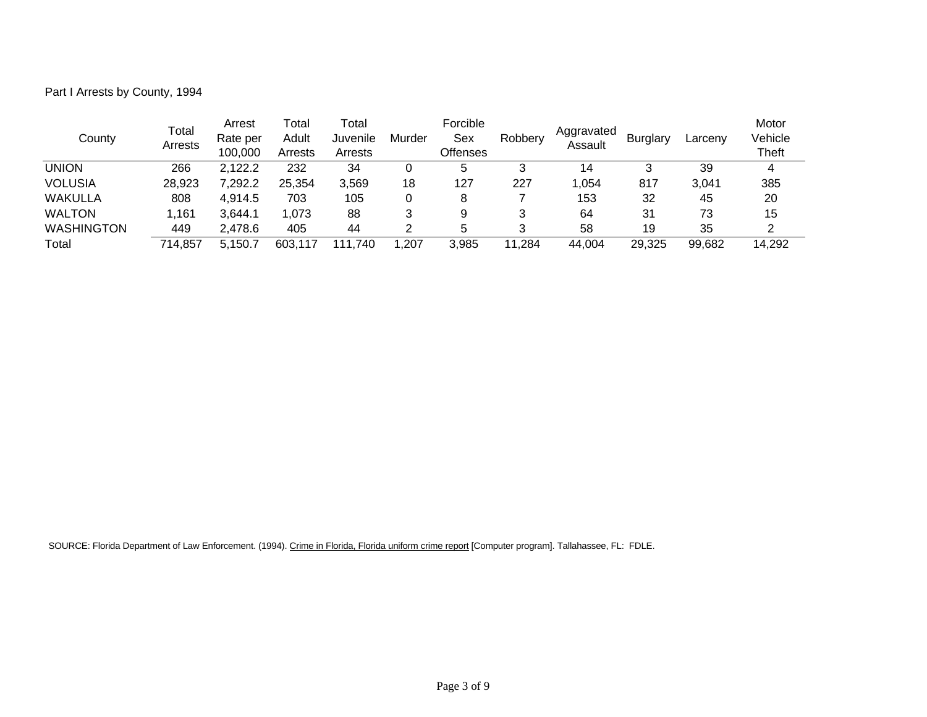Part I Arrests by County, 1994

| County            | Total<br>Arrests | Arrest<br>Rate per<br>100,000 | Гоtal<br>Adult<br>Arrests | Гоtal<br>Juvenile<br>Arrests | Murder | Forcible<br>Sex<br><b>Offenses</b> | Robbery | Aggravated<br>Assault | <b>Burglary</b> | Larceny | Motor<br>Vehicle<br><b>Theft</b> |
|-------------------|------------------|-------------------------------|---------------------------|------------------------------|--------|------------------------------------|---------|-----------------------|-----------------|---------|----------------------------------|
| <b>UNION</b>      | 266              | 2,122.2                       | 232                       | 34                           |        | $\mathbf b$                        |         | 14                    |                 | 39      | 4                                |
| <b>VOLUSIA</b>    | 28,923           | 7,292.2                       | 25,354                    | 3,569                        | 18     | 127                                | 227     | 1,054                 | 817             | 3.041   | 385                              |
| WAKULLA           | 808              | 4.914.5                       | 703                       | 105                          |        | 8                                  |         | 153                   | 32              | 45      | 20                               |
| <b>WALTON</b>     | .161             | 3,644.1                       | 1,073                     | 88                           |        | 9                                  |         | 64                    | 31              | 73      | 15                               |
| <b>WASHINGTON</b> | 449              | 2.478.6                       | 405                       | 44                           |        |                                    |         | 58                    | 19              | 35      |                                  |
| Total             | 714,857          | 5.150.7                       | 603.117                   | .740<br>111.                 | ,207   | 3,985                              | 11,284  | 44,004                | 29,325          | 99,682  | 14,292                           |

SOURCE: Florida Department of Law Enforcement. (1994). Crime in Florida, Florida uniform crime report [Computer program]. Tallahassee, FL: FDLE.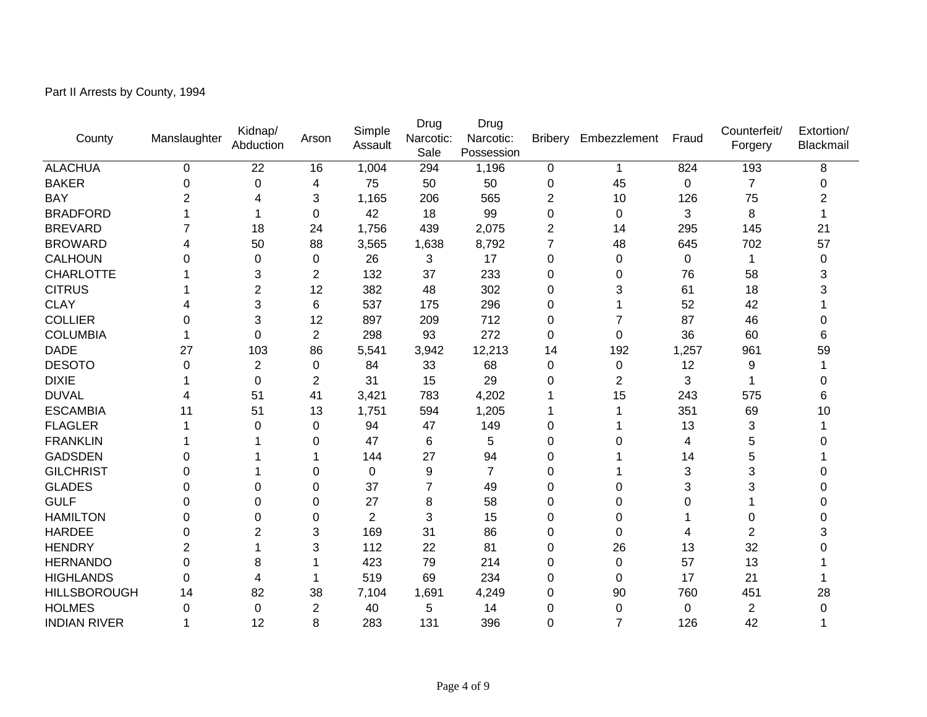Part II Arrests by County, 1994

| County              | Manslaughter | Kidnap/<br>Abduction | Arson            | Simple<br>Assault | Drug<br>Narcotic:<br>Sale | Drug<br>Narcotic:<br>Possession | <b>Bribery</b> | Embezzlement   | Fraud    | Counterfeit/<br>Forgery | Extortion/<br>Blackmail |
|---------------------|--------------|----------------------|------------------|-------------------|---------------------------|---------------------------------|----------------|----------------|----------|-------------------------|-------------------------|
| <b>ALACHUA</b>      | 0            | 22                   | 16               | 1,004             | 294                       | 1,196                           | 0              | 1              | 824      | 193                     | 8                       |
| <b>BAKER</b>        | 0            | 0                    | 4                | 75                | 50                        | 50                              | 0              | 45             | 0        | $\overline{7}$          | 0                       |
| <b>BAY</b>          | 2            | 4                    | 3                | 1,165             | 206                       | 565                             | $\overline{2}$ | 10             | 126      | 75                      | 2                       |
| <b>BRADFORD</b>     |              |                      | 0                | 42                | 18                        | 99                              | 0              | 0              | 3        | 8                       |                         |
| <b>BREVARD</b>      |              | 18                   | 24               | 1,756             | 439                       | 2,075                           | 2              | 14             | 295      | 145                     | 21                      |
| <b>BROWARD</b>      | 4            | 50                   | 88               | 3,565             | 1,638                     | 8,792                           | 7              | 48             | 645      | 702                     | 57                      |
| <b>CALHOUN</b>      | 0            | 0                    | 0                | 26                | 3                         | 17                              | 0              | 0              | 0        | 1                       | 0                       |
| <b>CHARLOTTE</b>    |              | 3                    | $\overline{2}$   | 132               | 37                        | 233                             | 0              | 0              | 76       | 58                      | 3                       |
| <b>CITRUS</b>       |              | $\overline{2}$       | 12               | 382               | 48                        | 302                             | 0              | 3              | 61       | 18                      | 3                       |
| <b>CLAY</b>         |              | 3                    | 6                | 537               | 175                       | 296                             | 0              |                | 52       | 42                      |                         |
| <b>COLLIER</b>      | 0            | 3                    | 12               | 897               | 209                       | 712                             | 0              |                | 87       | 46                      | 0                       |
| <b>COLUMBIA</b>     |              | 0                    | $\overline{2}$   | 298               | 93                        | 272                             | 0              | $\Omega$       | 36       | 60                      | 6                       |
| <b>DADE</b>         | 27           | 103                  | 86               | 5,541             | 3,942                     | 12,213                          | 14             | 192            | 1,257    | 961                     | 59                      |
| <b>DESOTO</b>       | 0            | 2                    | 0                | 84                | 33                        | 68                              | 0              | 0              | 12       | 9                       |                         |
| <b>DIXIE</b>        |              | $\Omega$             | $\overline{2}$   | 31                | 15                        | 29                              | 0              | $\overline{2}$ | 3        | 1                       | O                       |
| <b>DUVAL</b>        | 4            | 51                   | 41               | 3,421             | 783                       | 4,202                           |                | 15             | 243      | 575                     | 6                       |
| <b>ESCAMBIA</b>     | 11           | 51                   | 13               | 1,751             | 594                       | 1,205                           |                |                | 351      | 69                      | 10                      |
| <b>FLAGLER</b>      |              | 0                    | 0                | 94                | 47                        | 149                             | 0              |                | 13       | 3                       |                         |
| <b>FRANKLIN</b>     |              |                      | 0                | 47                | 6                         | 5                               | 0              | 0              | 4        | 5                       |                         |
| <b>GADSDEN</b>      | 0            |                      |                  | 144               | 27                        | 94                              | 0              |                | 14       | 5                       |                         |
| <b>GILCHRIST</b>    | 0            |                      | 0                | 0                 | 9                         | 7                               | 0              |                | 3        | 3                       |                         |
| <b>GLADES</b>       | 0            | 0                    | $\mathbf 0$      | 37                | 7                         | 49                              | 0              | 0              | 3        | 3                       |                         |
| <b>GULF</b>         | 0            | 0                    | 0                | 27                | 8                         | 58                              | 0              | 0              | $\Omega$ |                         |                         |
| <b>HAMILTON</b>     | 0            | 0                    | 0                | $\overline{2}$    | 3                         | 15                              | 0              | 0              |          | 0                       | 0                       |
| <b>HARDEE</b>       | 0            | 2                    | 3                | 169               | 31                        | 86                              | 0              | 0              | 4        | 2                       | 3                       |
| <b>HENDRY</b>       | 2            |                      | 3                | 112               | 22                        | 81                              | 0              | 26             | 13       | 32                      |                         |
| <b>HERNANDO</b>     | 0            | 8                    |                  | 423               | 79                        | 214                             | 0              | 0              | 57       | 13                      |                         |
| <b>HIGHLANDS</b>    | 0            | 4                    | 1                | 519               | 69                        | 234                             | 0              | 0              | 17       | 21                      |                         |
| <b>HILLSBOROUGH</b> | 14           | 82                   | 38               | 7,104             | 1,691                     | 4,249                           | 0              | 90             | 760      | 451                     | 28                      |
| <b>HOLMES</b>       | 0            | 0                    | $\boldsymbol{2}$ | 40                | 5                         | 14                              | 0              | 0              | 0        | 2                       | 0                       |
| <b>INDIAN RIVER</b> | 1            | 12                   | 8                | 283               | 131                       | 396                             | 0              | 7              | 126      | 42                      | 1                       |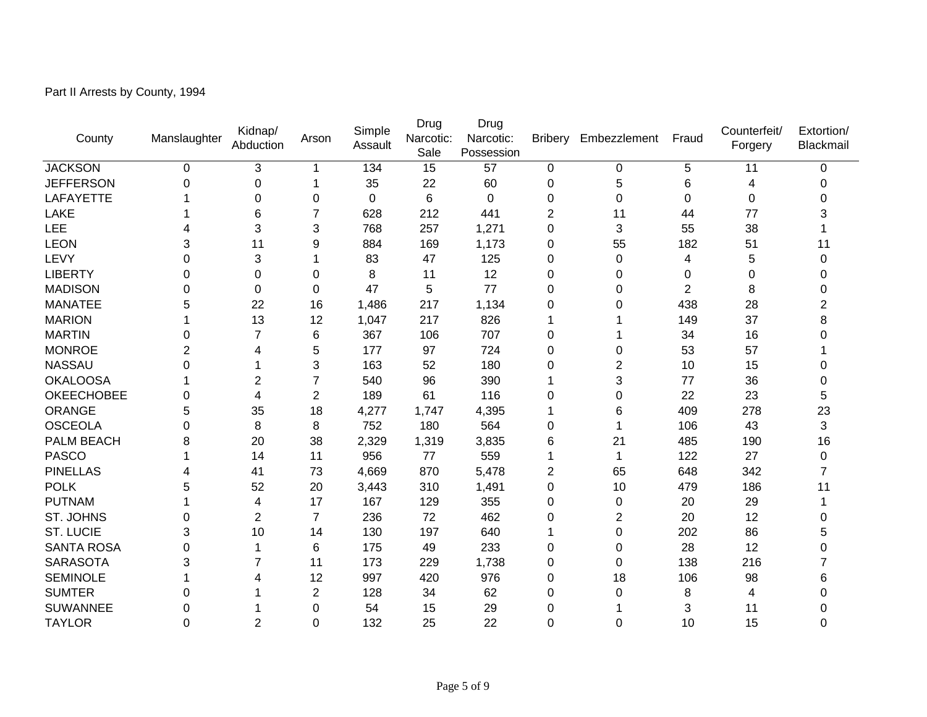Part II Arrests by County, 1994

| County            | Manslaughter   | Kidnap/<br>Abduction | Arson          | Simple<br>Assault | Drug<br>Narcotic:<br>Sale | Drug<br>Narcotic:<br>Possession |             | Bribery Embezzlement | Fraud          | Counterfeit/<br>Forgery | Extortion/<br>Blackmail |
|-------------------|----------------|----------------------|----------------|-------------------|---------------------------|---------------------------------|-------------|----------------------|----------------|-------------------------|-------------------------|
| <b>JACKSON</b>    | 0              | 3                    | 1              | 134               | 15                        | 57                              | $\mathbf 0$ | 0                    | 5              | 11                      | 0                       |
| <b>JEFFERSON</b>  | $\mathbf 0$    | $\mathbf 0$          | 1              | 35                | 22                        | 60                              | $\mathbf 0$ | 5                    | 6              | 4                       | 0                       |
| <b>LAFAYETTE</b>  |                | 0                    | 0              | 0                 | 6                         | 0                               | 0           | 0                    | 0              | 0                       | 0                       |
| LAKE              |                | 6                    | 7              | 628               | 212                       | 441                             | 2           | 11                   | 44             | 77                      | 3                       |
| <b>LEE</b>        | 4              | 3                    | 3              | 768               | 257                       | 1,271                           | $\mathbf 0$ | 3                    | 55             | 38                      |                         |
| <b>LEON</b>       | 3              | 11                   | 9              | 884               | 169                       | 1,173                           | $\mathbf 0$ | 55                   | 182            | 51                      | 11                      |
| LEVY              | 0              | 3                    |                | 83                | 47                        | 125                             | $\mathbf 0$ | 0                    | 4              | 5                       | 0                       |
| <b>LIBERTY</b>    | 0              | 0                    | 0              | 8                 | 11                        | 12                              | $\mathbf 0$ | 0                    | 0              | 0                       | 0                       |
| <b>MADISON</b>    | 0              | $\Omega$             | 0              | 47                | 5                         | 77                              | 0           | 0                    | $\overline{2}$ | 8                       | 0                       |
| <b>MANATEE</b>    | 5              | 22                   | 16             | 1,486             | 217                       | 1,134                           | 0           | 0                    | 438            | 28                      | 2                       |
| <b>MARION</b>     |                | 13                   | 12             | 1,047             | 217                       | 826                             | 1           |                      | 149            | 37                      | 8                       |
| <b>MARTIN</b>     | 0              | $\overline{7}$       | 6              | 367               | 106                       | 707                             | $\mathbf 0$ |                      | 34             | 16                      | 0                       |
| <b>MONROE</b>     | $\overline{2}$ | 4                    | 5              | 177               | 97                        | 724                             | $\mathbf 0$ | 0                    | 53             | 57                      |                         |
| <b>NASSAU</b>     | 0              |                      | 3              | 163               | 52                        | 180                             | 0           | 2                    | 10             | 15                      | 0                       |
| <b>OKALOOSA</b>   |                | $\overline{2}$       | $\overline{7}$ | 540               | 96                        | 390                             |             | 3                    | 77             | 36                      | $\Omega$                |
| <b>OKEECHOBEE</b> | 0              | 4                    | $\overline{2}$ | 189               | 61                        | 116                             | 0           | 0                    | 22             | 23                      | 5                       |
| ORANGE            | 5              | 35                   | 18             | 4,277             | 1,747                     | 4,395                           | 1           | 6                    | 409            | 278                     | 23                      |
| <b>OSCEOLA</b>    | 0              | 8                    | 8              | 752               | 180                       | 564                             | 0           | 1                    | 106            | 43                      | 3                       |
| PALM BEACH        | 8              | 20                   | 38             | 2,329             | 1,319                     | 3,835                           | 6           | 21                   | 485            | 190                     | 16                      |
| <b>PASCO</b>      |                | 14                   | 11             | 956               | 77                        | 559                             | 1           | 1                    | 122            | 27                      | 0                       |
| <b>PINELLAS</b>   | 4              | 41                   | 73             | 4,669             | 870                       | 5,478                           | 2           | 65                   | 648            | 342                     | 7                       |
| <b>POLK</b>       | 5              | 52                   | 20             | 3,443             | 310                       | 1,491                           | 0           | 10                   | 479            | 186                     | 11                      |
| <b>PUTNAM</b>     |                | 4                    | 17             | 167               | 129                       | 355                             | 0           | 0                    | 20             | 29                      | 1                       |
| ST. JOHNS         | 0              | $\overline{2}$       | $\overline{7}$ | 236               | 72                        | 462                             | 0           | 2                    | 20             | 12                      | 0                       |
| <b>ST. LUCIE</b>  | 3              | 10                   | 14             | 130               | 197                       | 640                             |             | 0                    | 202            | 86                      | 5                       |
| <b>SANTA ROSA</b> | $\Omega$       | 1                    | 6              | 175               | 49                        | 233                             | 0           | 0                    | 28             | 12                      | O                       |
| <b>SARASOTA</b>   | 3              | $\overline{7}$       | 11             | 173               | 229                       | 1,738                           | $\mathbf 0$ | 0                    | 138            | 216                     | 7                       |
| <b>SEMINOLE</b>   |                | 4                    | 12             | 997               | 420                       | 976                             | 0           | 18                   | 106            | 98                      | 6                       |
| <b>SUMTER</b>     | 0              |                      | 2              | 128               | 34                        | 62                              | 0           | 0                    | 8              | 4                       | 0                       |
| <b>SUWANNEE</b>   | 0              |                      | 0              | 54                | 15                        | 29                              | 0           |                      | 3              | 11                      | O                       |
| <b>TAYLOR</b>     | 0              | $\overline{2}$       | 0              | 132               | 25                        | 22                              | 0           | 0                    | 10             | 15                      | 0                       |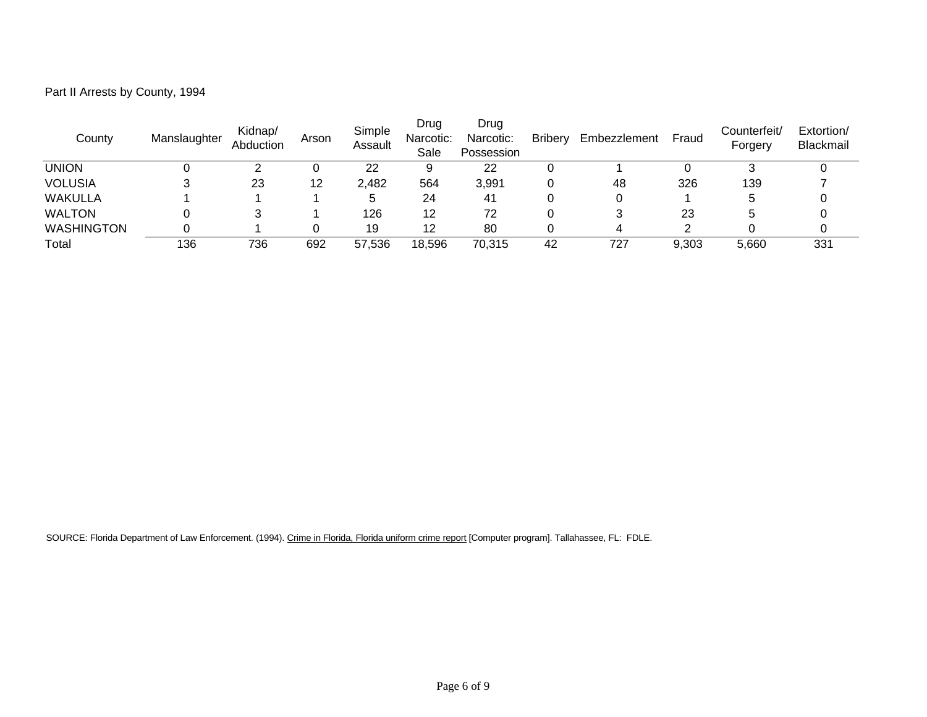| Part II Arrests by County, 1994 |  |  |
|---------------------------------|--|--|
|---------------------------------|--|--|

| County            | Manslaughter | Kidnap/<br>Abduction | Arson | Simple<br>Assault | Drug<br>Narcotic:<br>Sale | Drug<br>Narcotic:<br>Possession | <b>Bribery</b> | Embezzlement | Fraud | Counterfeit/<br>Forgery | Extortion/<br>Blackmail |
|-------------------|--------------|----------------------|-------|-------------------|---------------------------|---------------------------------|----------------|--------------|-------|-------------------------|-------------------------|
| UNION             |              |                      |       | 22                |                           | 22                              |                |              |       |                         |                         |
| <b>VOLUSIA</b>    |              | 23                   | 12    | 2,482             | 564                       | 3,991                           | u              | 48           | 326   | 139                     |                         |
| <b>WAKULLA</b>    |              |                      |       | b                 | 24                        | -41                             |                |              |       |                         |                         |
| <b>WALTON</b>     |              |                      |       | 126               | 12                        | 72                              | u              |              | 23    |                         |                         |
| <b>WASHINGTON</b> |              |                      |       | 19                | 12                        | 80                              |                |              |       |                         |                         |
| Total             | 136          | 736                  | 692   | 57,536            | 18,596                    | 70,315                          | 42             | 727          | 9,303 | 5.660                   | 331                     |

SOURCE: Florida Department of Law Enforcement. (1994). Crime in Florida, Florida uniform crime report [Computer program]. Tallahassee, FL: FDLE.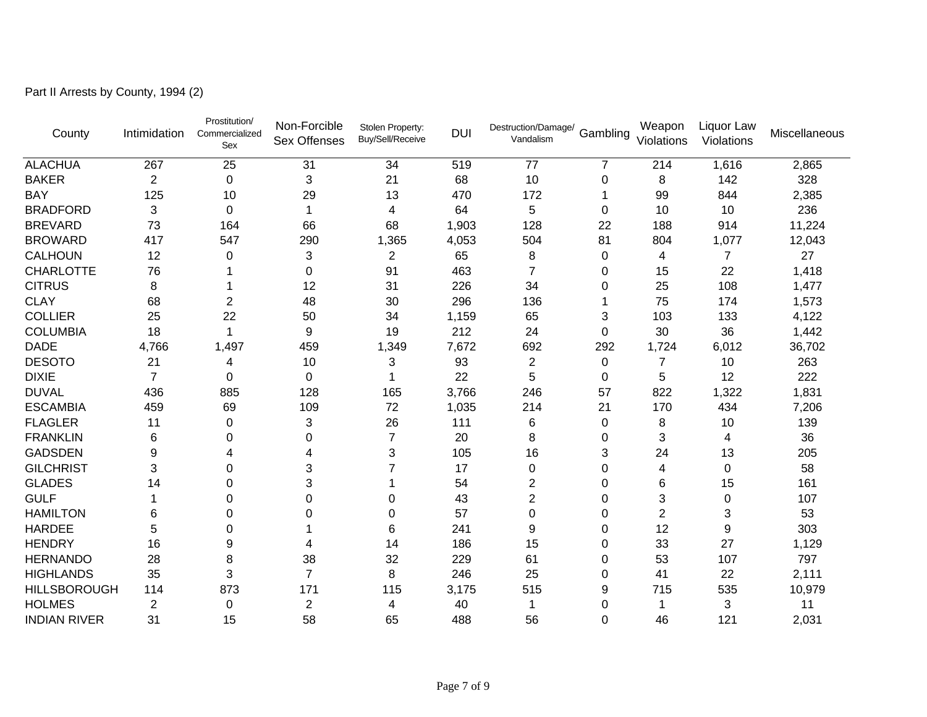Part II Arrests by County, 1994 (2)

| County              | Intimidation   | Prostitution/<br>Commercialized<br>Sex | Non-Forcible<br><b>Sex Offenses</b> | Stolen Property:<br>Buy/Sell/Receive | <b>DUI</b> | Destruction/Damage/<br>Vandalism | Gambling | Weapon<br>Violations | Liquor Law<br>Violations | Miscellaneous |
|---------------------|----------------|----------------------------------------|-------------------------------------|--------------------------------------|------------|----------------------------------|----------|----------------------|--------------------------|---------------|
| <b>ALACHUA</b>      | 267            | 25                                     | 31                                  | 34                                   | 519        | 77                               | 7        | 214                  | 1,616                    | 2,865         |
| <b>BAKER</b>        | $\overline{2}$ | $\mathbf 0$                            | 3                                   | 21                                   | 68         | 10                               | 0        | 8                    | 142                      | 328           |
| <b>BAY</b>          | 125            | 10                                     | 29                                  | 13                                   | 470        | 172                              |          | 99                   | 844                      | 2,385         |
| <b>BRADFORD</b>     | 3              | $\Omega$                               | 1                                   | 4                                    | 64         | 5                                | $\Omega$ | 10                   | 10                       | 236           |
| <b>BREVARD</b>      | 73             | 164                                    | 66                                  | 68                                   | 1,903      | 128                              | 22       | 188                  | 914                      | 11,224        |
| <b>BROWARD</b>      | 417            | 547                                    | 290                                 | 1,365                                | 4,053      | 504                              | 81       | 804                  | 1,077                    | 12,043        |
| <b>CALHOUN</b>      | 12             | 0                                      | 3                                   | 2                                    | 65         | 8                                | 0        | 4                    | 7                        | 27            |
| <b>CHARLOTTE</b>    | 76             |                                        | 0                                   | 91                                   | 463        | 7                                | 0        | 15                   | 22                       | 1,418         |
| <b>CITRUS</b>       | 8              |                                        | 12                                  | 31                                   | 226        | 34                               | 0        | 25                   | 108                      | 1,477         |
| <b>CLAY</b>         | 68             | 2                                      | 48                                  | 30                                   | 296        | 136                              |          | 75                   | 174                      | 1,573         |
| <b>COLLIER</b>      | 25             | 22                                     | 50                                  | 34                                   | 1,159      | 65                               | 3        | 103                  | 133                      | 4,122         |
| <b>COLUMBIA</b>     | 18             | 1                                      | 9                                   | 19                                   | 212        | 24                               | 0        | 30                   | 36                       | 1,442         |
| <b>DADE</b>         | 4,766          | 1,497                                  | 459                                 | 1,349                                | 7,672      | 692                              | 292      | 1,724                | 6,012                    | 36,702        |
| <b>DESOTO</b>       | 21             | 4                                      | 10                                  | 3                                    | 93         | $\overline{2}$                   | 0        | 7                    | 10                       | 263           |
| <b>DIXIE</b>        | $\overline{7}$ | $\Omega$                               | 0                                   |                                      | 22         | 5                                | 0        | 5                    | 12                       | 222           |
| <b>DUVAL</b>        | 436            | 885                                    | 128                                 | 165                                  | 3,766      | 246                              | 57       | 822                  | 1,322                    | 1,831         |
| <b>ESCAMBIA</b>     | 459            | 69                                     | 109                                 | 72                                   | 1,035      | 214                              | 21       | 170                  | 434                      | 7,206         |
| <b>FLAGLER</b>      | 11             | 0                                      | 3                                   | 26                                   | 111        | 6                                | 0        | 8                    | 10                       | 139           |
| <b>FRANKLIN</b>     | 6              | 0                                      | 0                                   | $\overline{7}$                       | 20         | 8                                | 0        | 3                    | 4                        | 36            |
| <b>GADSDEN</b>      | 9              | 4                                      | 4                                   | 3                                    | 105        | 16                               | 3        | 24                   | 13                       | 205           |
| <b>GILCHRIST</b>    | 3              | 0                                      | 3                                   |                                      | 17         | 0                                | 0        | 4                    | $\mathbf 0$              | 58            |
| <b>GLADES</b>       | 14             | $\Omega$                               | 3                                   |                                      | 54         | $\overline{c}$                   | 0        | 6                    | 15                       | 161           |
| <b>GULF</b>         |                | 0                                      | 0                                   | 0                                    | 43         | $\overline{c}$                   | 0        | 3                    | $\mathbf 0$              | 107           |
| <b>HAMILTON</b>     | 6              | 0                                      | 0                                   | 0                                    | 57         | 0                                | 0        | $\overline{2}$       | 3                        | 53            |
| <b>HARDEE</b>       | 5              | $\Omega$                               |                                     | 6                                    | 241        | 9                                | 0        | 12                   | 9                        | 303           |
| <b>HENDRY</b>       | 16             | 9                                      | 4                                   | 14                                   | 186        | 15                               | 0        | 33                   | 27                       | 1,129         |
| <b>HERNANDO</b>     | 28             | 8                                      | 38                                  | 32                                   | 229        | 61                               | 0        | 53                   | 107                      | 797           |
| <b>HIGHLANDS</b>    | 35             | 3                                      | $\overline{7}$                      | 8                                    | 246        | 25                               | 0        | 41                   | 22                       | 2,111         |
| <b>HILLSBOROUGH</b> | 114            | 873                                    | 171                                 | 115                                  | 3,175      | 515                              | 9        | 715                  | 535                      | 10,979        |
| <b>HOLMES</b>       | 2              | 0                                      | $\overline{2}$                      | 4                                    | 40         |                                  | 0        |                      | 3                        | 11            |
| <b>INDIAN RIVER</b> | 31             | 15                                     | 58                                  | 65                                   | 488        | 56                               | 0        | 46                   | 121                      | 2,031         |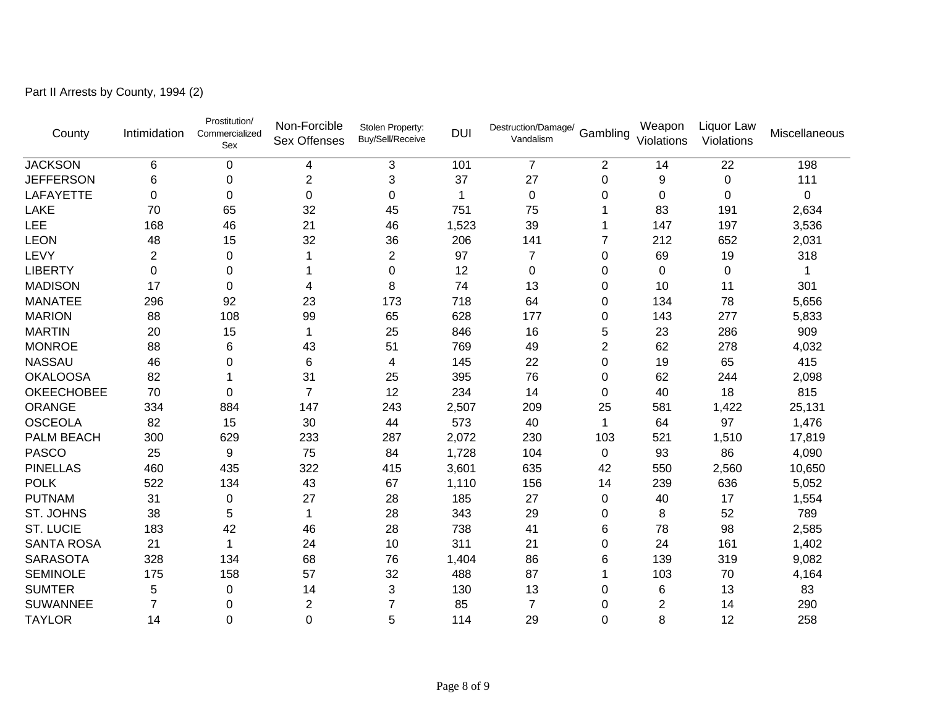Part II Arrests by County, 1994 (2)

| County            | Intimidation   | Prostitution/<br>Commercialized<br>Sex | Non-Forcible<br><b>Sex Offenses</b> | Stolen Property:<br>Buy/Sell/Receive | <b>DUI</b> | Destruction/Damage/<br>Vandalism | Gambling       | Weapon<br>Violations | Liquor Law<br>Violations | Miscellaneous |
|-------------------|----------------|----------------------------------------|-------------------------------------|--------------------------------------|------------|----------------------------------|----------------|----------------------|--------------------------|---------------|
| <b>JACKSON</b>    | 6              | $\mathbf 0$                            | 4                                   | 3                                    | 101        | $\overline{7}$                   | $\overline{2}$ | 14                   | 22                       | 198           |
| <b>JEFFERSON</b>  | 6              | $\pmb{0}$                              | $\overline{2}$                      | 3                                    | 37         | 27                               | 0              | 9                    | $\mathbf 0$              | 111           |
| LAFAYETTE         | 0              | $\mathbf 0$                            | 0                                   | 0                                    | 1          | $\pmb{0}$                        | 0              | 0                    | $\mathbf 0$              | $\mathbf 0$   |
| <b>LAKE</b>       | 70             | 65                                     | 32                                  | 45                                   | 751        | 75                               |                | 83                   | 191                      | 2,634         |
| <b>LEE</b>        | 168            | 46                                     | 21                                  | 46                                   | 1,523      | 39                               |                | 147                  | 197                      | 3,536         |
| <b>LEON</b>       | 48             | 15                                     | 32                                  | 36                                   | 206        | 141                              | 7              | 212                  | 652                      | 2,031         |
| LEVY              | $\overline{2}$ | $\Omega$                               | 1                                   | $\overline{2}$                       | 97         | $\overline{7}$                   | 0              | 69                   | 19                       | 318           |
| <b>LIBERTY</b>    | 0              | 0                                      |                                     | 0                                    | 12         | 0                                | 0              | $\Omega$             | 0                        |               |
| <b>MADISON</b>    | 17             | 0                                      | 4                                   | 8                                    | 74         | 13                               | 0              | 10                   | 11                       | 301           |
| <b>MANATEE</b>    | 296            | 92                                     | 23                                  | 173                                  | 718        | 64                               | 0              | 134                  | 78                       | 5,656         |
| <b>MARION</b>     | 88             | 108                                    | 99                                  | 65                                   | 628        | 177                              | 0              | 143                  | 277                      | 5,833         |
| <b>MARTIN</b>     | 20             | 15                                     | 1                                   | 25                                   | 846        | 16                               | 5              | 23                   | 286                      | 909           |
| <b>MONROE</b>     | 88             | 6                                      | 43                                  | 51                                   | 769        | 49                               | $\overline{2}$ | 62                   | 278                      | 4,032         |
| <b>NASSAU</b>     | 46             | 0                                      | 6                                   | 4                                    | 145        | 22                               | 0              | 19                   | 65                       | 415           |
| <b>OKALOOSA</b>   | 82             |                                        | 31                                  | 25                                   | 395        | 76                               | 0              | 62                   | 244                      | 2,098         |
| <b>OKEECHOBEE</b> | 70             | $\Omega$                               | $\overline{7}$                      | 12                                   | 234        | 14                               | 0              | 40                   | 18                       | 815           |
| <b>ORANGE</b>     | 334            | 884                                    | 147                                 | 243                                  | 2,507      | 209                              | 25             | 581                  | 1,422                    | 25,131        |
| <b>OSCEOLA</b>    | 82             | 15                                     | 30                                  | 44                                   | 573        | 40                               | 1              | 64                   | 97                       | 1,476         |
| <b>PALM BEACH</b> | 300            | 629                                    | 233                                 | 287                                  | 2,072      | 230                              | 103            | 521                  | 1,510                    | 17,819        |
| <b>PASCO</b>      | 25             | 9                                      | 75                                  | 84                                   | 1,728      | 104                              | 0              | 93                   | 86                       | 4,090         |
| <b>PINELLAS</b>   | 460            | 435                                    | 322                                 | 415                                  | 3,601      | 635                              | 42             | 550                  | 2,560                    | 10,650        |
| <b>POLK</b>       | 522            | 134                                    | 43                                  | 67                                   | 1,110      | 156                              | 14             | 239                  | 636                      | 5,052         |
| <b>PUTNAM</b>     | 31             | 0                                      | 27                                  | 28                                   | 185        | 27                               | 0              | 40                   | 17                       | 1,554         |
| <b>ST. JOHNS</b>  | 38             | 5                                      | $\mathbf{1}$                        | 28                                   | 343        | 29                               | 0              | 8                    | 52                       | 789           |
| <b>ST. LUCIE</b>  | 183            | 42                                     | 46                                  | 28                                   | 738        | 41                               | 6              | 78                   | 98                       | 2,585         |
| <b>SANTA ROSA</b> | 21             | 1                                      | 24                                  | 10                                   | 311        | 21                               | 0              | 24                   | 161                      | 1,402         |
| <b>SARASOTA</b>   | 328            | 134                                    | 68                                  | 76                                   | 1,404      | 86                               | 6              | 139                  | 319                      | 9,082         |
| <b>SEMINOLE</b>   | 175            | 158                                    | 57                                  | 32                                   | 488        | 87                               |                | 103                  | 70                       | 4,164         |
| <b>SUMTER</b>     | 5              | $\Omega$                               | 14                                  | 3                                    | 130        | 13                               | 0              | 6                    | 13                       | 83            |
| <b>SUWANNEE</b>   | $\overline{7}$ | 0                                      | $\overline{2}$                      | 7                                    | 85         | $\overline{7}$                   | 0              | $\overline{2}$       | 14                       | 290           |
| <b>TAYLOR</b>     | 14             | 0                                      | 0                                   | 5                                    | 114        | 29                               | 0              | 8                    | 12                       | 258           |